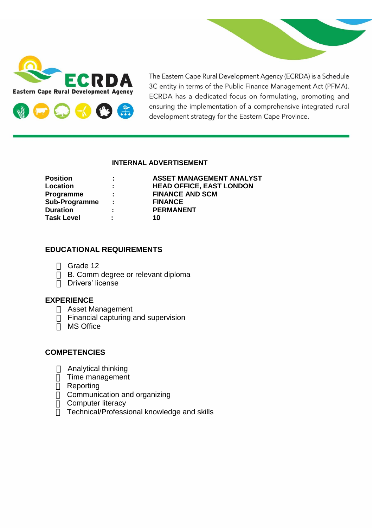



The Eastern Cape Rural Development Agency (ECRDA) is a Schedule 3C entity in terms of the Public Finance Management Act (PFMA). ECRDA has a dedicated focus on formulating, promoting and ensuring the implementation of a comprehensive integrated rural development strategy for the Eastern Cape Province.

#### **INTERNAL ADVERTISEMENT**

**Sub-Programme : FINANCE Duration : PERMANENT Task Level : 10**

**Position : ASSET MANAGEMENT ANALYST Location : HEAD OFFICE, EAST LONDON** Programme : FINANCE AND SCM

## **EDUCATIONAL REQUIREMENTS**

- Grade 12
- □ B. Comm degree or relevant diploma
- □ Drivers' license

### **EXPERIENCE**

- Asset Management
- $\Box$  Financial capturing and supervision
- □ MS Office

### **COMPETENCIES**

- □ Analytical thinking
- $\Box$  Time management
- **□** Reporting
- □ Communication and organizing
- □ Computer literacy
- $\overline{\Pi}$  Technical/Professional knowledge and skills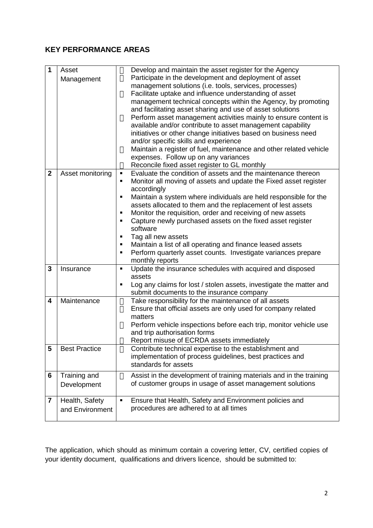# **KEY PERFORMANCE AREAS**

| 1 | Asset<br>Management  | ▯<br>$\Box$    | Develop and maintain the asset register for the Agency<br>Participate in the development and deployment of asset |
|---|----------------------|----------------|------------------------------------------------------------------------------------------------------------------|
|   |                      |                | management solutions (i.e. tools, services, processes)                                                           |
|   |                      | $\Box$         | Facilitate uptake and influence understanding of asset                                                           |
|   |                      |                | management technical concepts within the Agency, by promoting                                                    |
|   |                      |                | and facilitating asset sharing and use of asset solutions                                                        |
|   |                      | $\Box$         | Perform asset management activities mainly to ensure content is                                                  |
|   |                      |                | available and/or contribute to asset management capability                                                       |
|   |                      |                | initiatives or other change initiatives based on business need                                                   |
|   |                      |                | and/or specific skills and experience                                                                            |
|   |                      | $\Box$         | Maintain a register of fuel, maintenance and other related vehicle                                               |
|   |                      |                | expenses. Follow up on any variances                                                                             |
|   |                      |                | Reconcile fixed asset register to GL monthly                                                                     |
| 2 | Asset monitoring     | $\blacksquare$ | Evaluate the condition of assets and the maintenance thereon                                                     |
|   |                      | $\blacksquare$ | Monitor all moving of assets and update the Fixed asset register                                                 |
|   |                      | ٠              | accordingly<br>Maintain a system where individuals are held responsible for the                                  |
|   |                      |                | assets allocated to them and the replacement of lest assets                                                      |
|   |                      | ٠              | Monitor the requisition, order and receiving of new assets                                                       |
|   |                      | ٠              | Capture newly purchased assets on the fixed asset register                                                       |
|   |                      |                | software                                                                                                         |
|   |                      | ٠              | Tag all new assets                                                                                               |
|   |                      | ٠              | Maintain a list of all operating and finance leased assets                                                       |
|   |                      | ٠              | Perform quarterly asset counts. Investigate variances prepare                                                    |
|   |                      |                | monthly reports                                                                                                  |
| 3 | Insurance            | ٠              | Update the insurance schedules with acquired and disposed                                                        |
|   |                      | ٠              | assets                                                                                                           |
|   |                      |                | Log any claims for lost / stolen assets, investigate the matter and<br>submit documents to the insurance company |
| 4 | Maintenance          | $\Box$         | Take responsibility for the maintenance of all assets                                                            |
|   |                      | $\Box$         | Ensure that official assets are only used for company related                                                    |
|   |                      |                | matters                                                                                                          |
|   |                      | П              | Perform vehicle inspections before each trip, monitor vehicle use                                                |
|   |                      |                | and trip authorisation forms                                                                                     |
|   |                      |                | Report misuse of ECRDA assets immediately                                                                        |
| 5 | <b>Best Practice</b> | $\Box$         | Contribute technical expertise to the establishment and                                                          |
|   |                      |                | implementation of process guidelines, best practices and                                                         |
|   |                      |                | standards for assets                                                                                             |
| 6 | Training and         | $\Box$         | Assist in the development of training materials and in the training                                              |
|   | Development          |                | of customer groups in usage of asset management solutions                                                        |
|   |                      |                |                                                                                                                  |
| 7 | Health, Safety       | ٠              | Ensure that Health, Safety and Environment policies and                                                          |
|   | and Environment      |                | procedures are adhered to at all times                                                                           |
|   |                      |                |                                                                                                                  |

The application, which should as minimum contain a covering letter, CV, certified copies of your identity document, qualifications and drivers licence, should be submitted to: